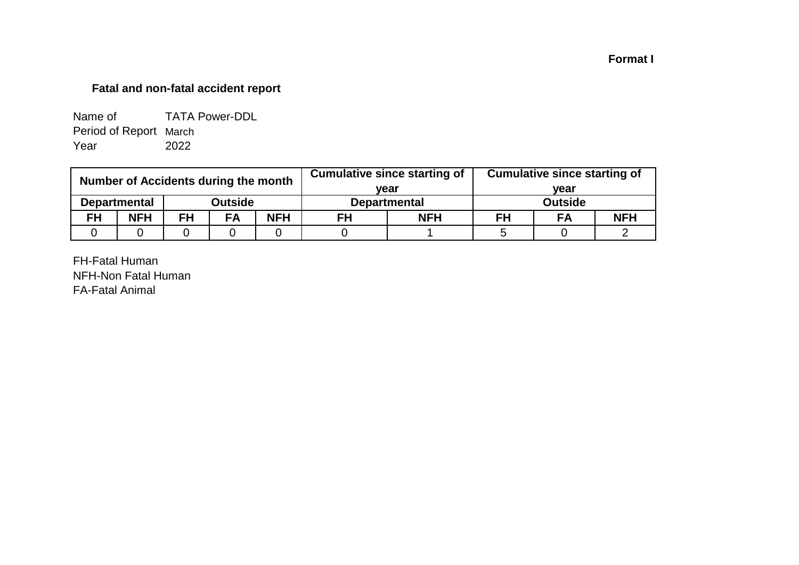## **Format I**

# **Fatal and non-fatal accident report**

| Name of                | <b>TATA Power-DDL</b> |
|------------------------|-----------------------|
| Period of Report March |                       |
| Year                   | 2022                  |

| Number of Accidents during the month |                     |           |                |            |                     | <b>Cumulative since starting of</b> | <b>Cumulative since starting of</b> |    |            |  |
|--------------------------------------|---------------------|-----------|----------------|------------|---------------------|-------------------------------------|-------------------------------------|----|------------|--|
|                                      |                     |           | vear           |            | vear                |                                     |                                     |    |            |  |
|                                      | <b>Departmental</b> |           | <b>Outside</b> |            | <b>Departmental</b> |                                     | <b>Outside</b>                      |    |            |  |
| <b>FH</b>                            | <b>NFH</b>          | <b>FH</b> | FA             | <b>NFH</b> | <b>NFH</b><br>FH    |                                     | FH                                  | FA | <b>NFH</b> |  |
|                                      |                     |           |                |            |                     |                                     |                                     |    |            |  |

FH-Fatal Human NFH-Non Fatal Human FA-Fatal Animal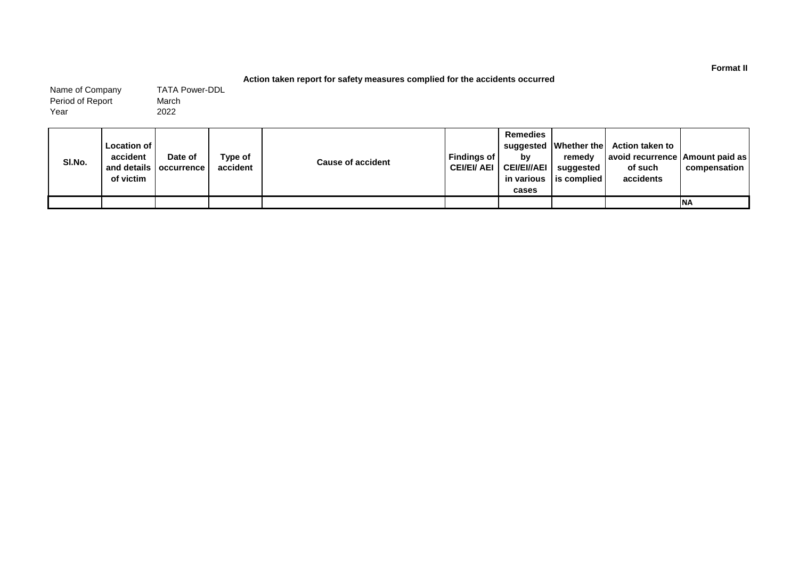#### **Action taken report for safety measures complied for the accidents occurred**

March 2022 Name of Company Period of Report Year TATA Power-DDL

| SI.No. | Location of<br>accident<br>of victim | Date of<br>and details   occurrence | Type of<br>accident | <b>Cause of accident</b> | Findinas of  <br><b>CEI/EI/ AEI</b> | <b>Remedies</b><br>bv<br><b>CEI/EI//AEI</b><br>in various<br>cases | remedv<br>suggested<br><b>lis complied</b> | suggested   Whether the   Action taken to<br>  avoid recurrence   Amount paid as  <br>of such<br>accidents | compensation |
|--------|--------------------------------------|-------------------------------------|---------------------|--------------------------|-------------------------------------|--------------------------------------------------------------------|--------------------------------------------|------------------------------------------------------------------------------------------------------------|--------------|
|        |                                      |                                     |                     |                          |                                     |                                                                    |                                            |                                                                                                            | <b>INA</b>   |

**Format II**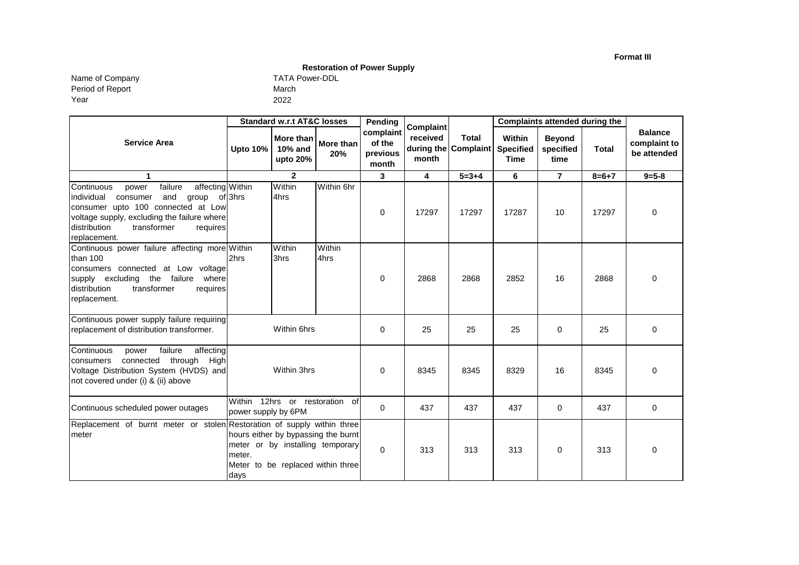**Format III**

**Restoration of Power Supply** 

Year Name of Company TATA Power-DDLL TATA Power-DDLL TATA Period of Report

| TATA Po |  |
|---------|--|
| March   |  |
| 2022    |  |

|                                                                                                                                                                                                                                               | <b>Standard w.r.t AT&amp;C losses</b> |                                                                                                              | Pending          | <b>Complaint</b>                         |                   | <b>Complaints attended during the</b> |                                           |                                    |              |                                               |
|-----------------------------------------------------------------------------------------------------------------------------------------------------------------------------------------------------------------------------------------------|---------------------------------------|--------------------------------------------------------------------------------------------------------------|------------------|------------------------------------------|-------------------|---------------------------------------|-------------------------------------------|------------------------------------|--------------|-----------------------------------------------|
| <b>Service Area</b>                                                                                                                                                                                                                           | <b>Upto 10%</b>                       | More than<br><b>10% and</b><br>upto 20%                                                                      | More than<br>20% | complaint<br>of the<br>previous<br>month | received<br>month | <b>Total</b><br>during the Complaint  | Within<br><b>Specified</b><br><b>Time</b> | <b>Beyond</b><br>specified<br>time | <b>Total</b> | <b>Balance</b><br>complaint to<br>be attended |
| 1                                                                                                                                                                                                                                             |                                       | $\mathbf{2}$                                                                                                 |                  | 3                                        | 4                 | $5 = 3 + 4$                           | 6                                         | $\overline{7}$                     | $8 = 6 + 7$  | $9 = 5 - 8$                                   |
| Continuous<br>affecting Within<br>failure<br>power<br>lindividual<br>consumer<br>and<br>group<br>consumer upto 100 connected at Low<br>voltage supply, excluding the failure where<br>distribution<br>transformer<br>requires<br>replacement. | of 3hrs                               | Within<br>4hrs                                                                                               | Within 6hr       | 0                                        | 17297             | 17297                                 | 17287                                     | 10                                 | 17297        | 0                                             |
| Continuous power failure affecting more Within<br>than 100<br>consumers connected at Low voltage<br>supply excluding the failure<br>where<br>transformer<br>distribution<br>requires<br>replacement.                                          | 2hrs                                  | Within<br>3hrs                                                                                               | Within<br>4hrs   | 0                                        | 2868              | 2868                                  | 2852                                      | 16                                 | 2868         | 0                                             |
| Continuous power supply failure requiring<br>replacement of distribution transformer.                                                                                                                                                         |                                       | Within 6hrs                                                                                                  |                  | 0                                        | 25                | 25                                    | 25                                        | $\Omega$                           | 25           | 0                                             |
| Continuous<br>failure<br>affecting<br>power<br>connected through<br>High<br>consumers<br>Voltage Distribution System (HVDS) and<br>not covered under (i) & (ii) above                                                                         |                                       | Within 3hrs                                                                                                  |                  | 0                                        | 8345              | 8345                                  | 8329                                      | 16                                 | 8345         | $\Omega$                                      |
| Continuous scheduled power outages                                                                                                                                                                                                            | power supply by 6PM                   | Within 12hrs or restoration of                                                                               |                  | 0                                        | 437               | 437                                   | 437                                       | 0                                  | 437          | 0                                             |
| Replacement of burnt meter or stolen Restoration of supply within three<br>meter                                                                                                                                                              | meter.<br>days                        | hours either by bypassing the burnt<br>meter or by installing temporary<br>Meter to be replaced within three |                  | 0                                        | 313               | 313                                   | 313                                       | $\mathbf 0$                        | 313          | $\Omega$                                      |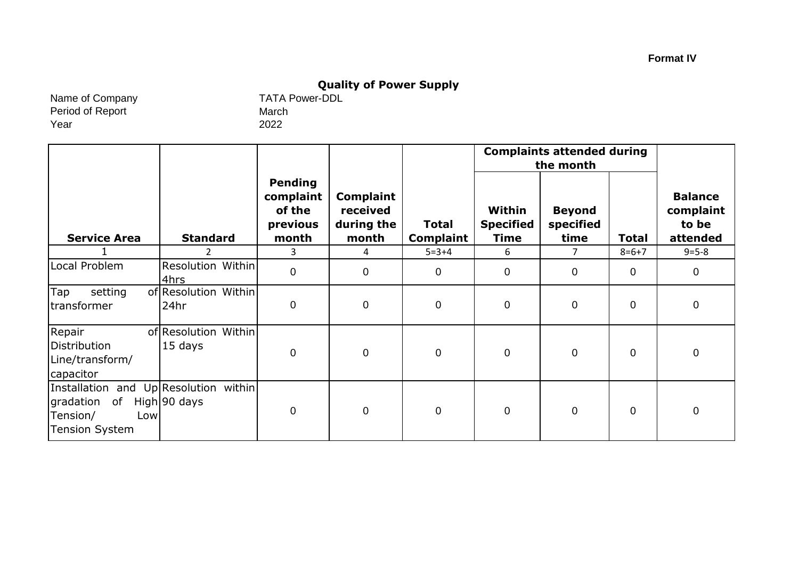# **Quality of Power Supply**<br>TATA Power-DDL

Name of Company Period of Report Year

March 2022

|                                                                                                      |                                 |                                                            |                                                     |                                  | <b>Complaints attended during</b><br>the month |                                    |             |                                                  |
|------------------------------------------------------------------------------------------------------|---------------------------------|------------------------------------------------------------|-----------------------------------------------------|----------------------------------|------------------------------------------------|------------------------------------|-------------|--------------------------------------------------|
| <b>Service Area</b>                                                                                  | <b>Standard</b>                 | <b>Pending</b><br>complaint<br>of the<br>previous<br>month | <b>Complaint</b><br>received<br>during the<br>month | <b>Total</b><br><b>Complaint</b> | Within<br><b>Specified</b><br><b>Time</b>      | <b>Beyond</b><br>specified<br>time | Total       | <b>Balance</b><br>complaint<br>to be<br>attended |
|                                                                                                      |                                 | 3                                                          | 4                                                   | $5 = 3 + 4$                      | 6                                              | 7                                  | $8=6+7$     | $9 = 5 - 8$                                      |
| Local Problem                                                                                        | Resolution Within<br>4hrs       | $\overline{0}$                                             | $\mathbf 0$                                         | $\mathbf 0$                      | 0                                              | $\mathbf 0$                        | $\mathbf 0$ | $\mathbf 0$                                      |
| Tap<br>setting<br>transformer                                                                        | of Resolution Within<br>24hr    | $\mathbf 0$                                                | $\mathbf 0$                                         | $\mathbf 0$                      | $\mathbf 0$                                    | $\mathbf 0$                        | $\mathbf 0$ | $\mathbf 0$                                      |
| Repair<br>Distribution<br>Line/transform/<br>capacitor                                               | of Resolution Within<br>15 days | $\mathbf 0$                                                | $\overline{0}$                                      | $\mathbf 0$                      | $\mathbf 0$                                    | $\mathbf 0$                        | $\mathbf 0$ | $\mathbf 0$                                      |
| Installation and Up Resolution within<br>of<br>gradation<br>Tension/<br>Low<br><b>Tension System</b> | High 90 days                    | $\mathbf 0$                                                | $\mathbf 0$                                         | $\mathbf 0$                      | $\mathbf 0$                                    | $\mathbf 0$                        | $\mathbf 0$ | $\mathbf 0$                                      |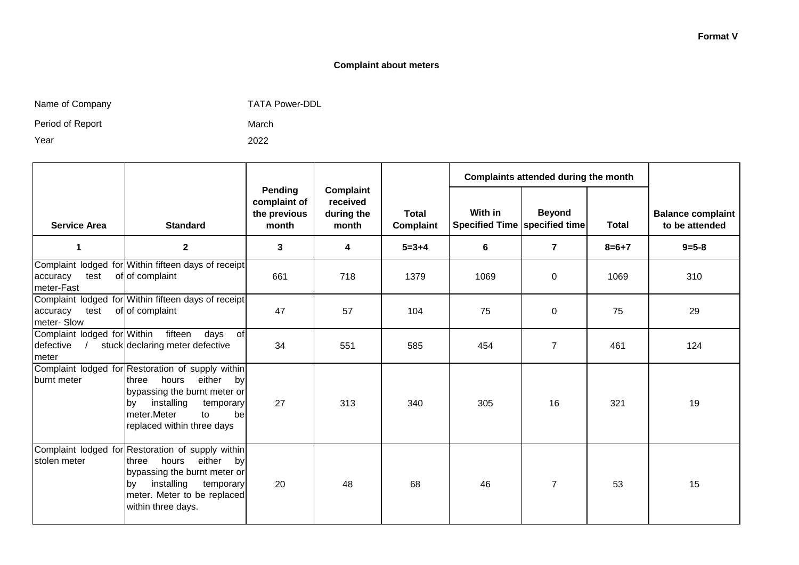#### **Complaint about meters**

Name of Company TATA Power-DDL

March 2022

Period of Report

Year

|                                                                 |                                                                                                                                                                                                                 |                                                  |                                              |                           |                                                   | Complaints attended during the month |              |                                            |
|-----------------------------------------------------------------|-----------------------------------------------------------------------------------------------------------------------------------------------------------------------------------------------------------------|--------------------------------------------------|----------------------------------------------|---------------------------|---------------------------------------------------|--------------------------------------|--------------|--------------------------------------------|
| <b>Service Area</b>                                             | <b>Standard</b>                                                                                                                                                                                                 | Pending<br>complaint of<br>the previous<br>month | Complaint<br>received<br>during the<br>month | <b>Total</b><br>Complaint | With in<br><b>Specified Time   specified time</b> | <b>Beyond</b>                        | <b>Total</b> | <b>Balance complaint</b><br>to be attended |
| 1                                                               | $\mathbf{2}$                                                                                                                                                                                                    | 3                                                | 4                                            | $5 = 3 + 4$               | 6                                                 | $\overline{\mathbf{r}}$              | $8 = 6 + 7$  | $9 = 5 - 8$                                |
| test<br>accuracy<br>meter-Fast                                  | Complaint lodged for Within fifteen days of receipt<br>of of complaint                                                                                                                                          | 661                                              | 718                                          | 1379                      | 1069                                              | 0                                    | 1069         | 310                                        |
| test<br>accuracy<br>meter-Slow                                  | Complaint lodged for Within fifteen days of receipt<br>of of complaint                                                                                                                                          | 47                                               | 57                                           | 104                       | 75                                                | $\pmb{0}$                            | 75           | 29                                         |
| Complaint lodged for Within<br>defective<br>$\sqrt{2}$<br>meter | fifteen<br>days<br>of<br>stuck declaring meter defective                                                                                                                                                        | 34                                               | 551                                          | 585                       | 454                                               | $\overline{7}$                       | 461          | 124                                        |
| burnt meter                                                     | Complaint lodged for Restoration of supply within<br>hours<br>either<br>three<br>by<br>bypassing the burnt meter or<br>installing<br>temporary<br>lby.<br>meter.Meter<br>to<br>be<br>replaced within three days | 27                                               | 313                                          | 340                       | 305                                               | 16                                   | 321          | 19                                         |
| stolen meter                                                    | Complaint lodged for Restoration of supply within<br>hours either<br><b>three</b><br>by<br>bypassing the burnt meter or<br>installing<br>temporary<br>lbv<br>meter. Meter to be replaced<br>within three days.  | 20                                               | 48                                           | 68                        | 46                                                | $\overline{7}$                       | 53           | 15                                         |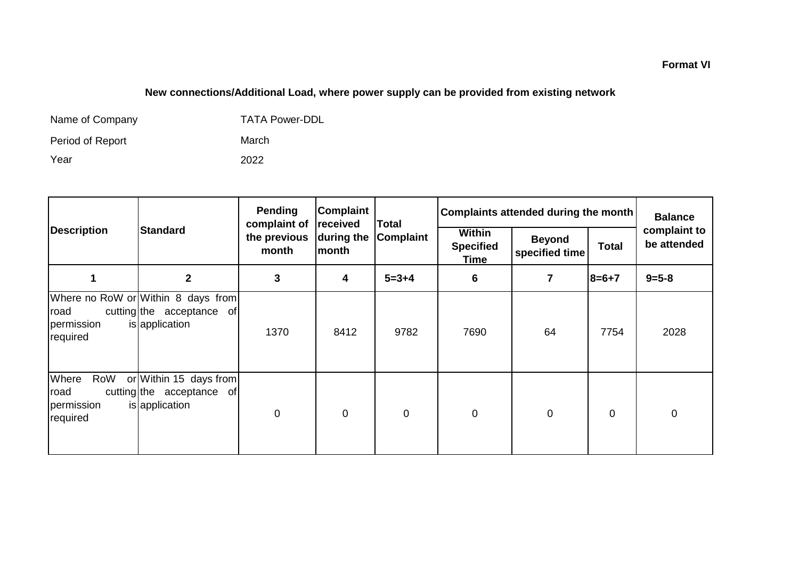## **New connections/Additional Load, where power supply can be provided from existing network**

| Name of Company  | <b>TATA Power-DDL</b> |
|------------------|-----------------------|
| Period of Report | March                 |
| Year             | 2022                  |

|                                                |                                                                                   | Pending<br>complaint of                                                                           | <b>Complaint</b><br>received | <b>Total</b>     | Complaints attended during the month |                | <b>Balance</b>              |             |
|------------------------------------------------|-----------------------------------------------------------------------------------|---------------------------------------------------------------------------------------------------|------------------------------|------------------|--------------------------------------|----------------|-----------------------------|-------------|
| <b>Description</b>                             | <b>Standard</b>                                                                   | <b>Within</b><br>the previous<br><b>Complaint</b><br>during the<br>lmonth<br>month<br><b>Time</b> |                              | <b>Specified</b> | <b>Beyond</b><br>specified time      | <b>Total</b>   | complaint to<br>be attended |             |
|                                                | $\mathbf{2}$                                                                      | 3                                                                                                 | 4                            | $5 = 3 + 4$      | 6                                    | $\overline{7}$ | $8=6+7$                     | $9 = 5 - 8$ |
| road<br>permission<br>required                 | Where no RoW or Within 8 days from<br>cutting the acceptance of<br>is application | 1370                                                                                              | 8412                         | 9782             | 7690                                 | 64             | 7754                        | 2028        |
| Where<br>RoW<br>road<br>permission<br>required | or Within 15 days from<br>cutting the acceptance of<br>is application             | $\mathbf 0$                                                                                       | $\mathbf 0$                  | $\mathbf 0$      | $\mathbf 0$                          | $\mathbf 0$    | $\mathbf 0$                 | $\mathbf 0$ |

#### **Format VI**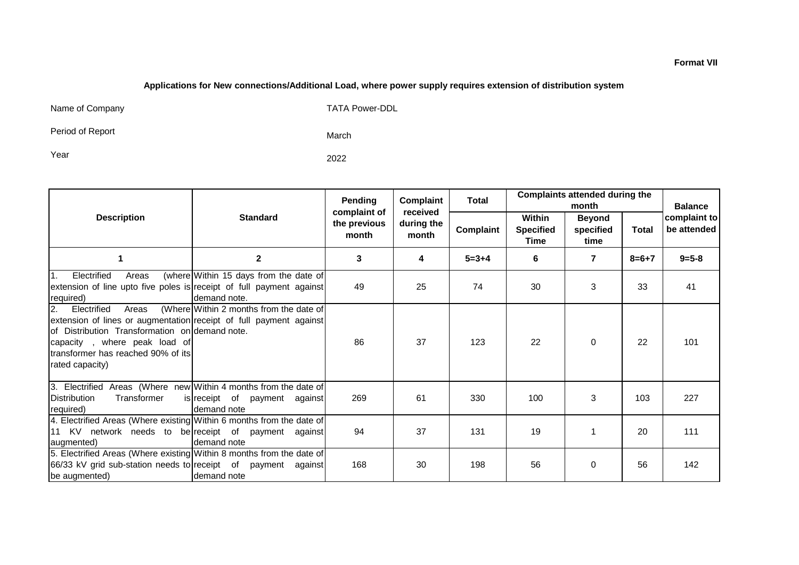#### **Applications for New connections/Additional Load, where power supply requires extension of distribution system**

Name of Company TATA Power-DDL

Period of Report

March

Year 2022

|                                                                                                                                                                                                                                              |                                                        | Pending<br>complaint of                                                     | Complaint<br>received | <b>Total</b>     | <b>Complaints attended during the</b><br>month |              |                             | <b>Balance</b> |
|----------------------------------------------------------------------------------------------------------------------------------------------------------------------------------------------------------------------------------------------|--------------------------------------------------------|-----------------------------------------------------------------------------|-----------------------|------------------|------------------------------------------------|--------------|-----------------------------|----------------|
| <b>Description</b>                                                                                                                                                                                                                           | <b>Standard</b>                                        | Within<br>the previous<br>during the<br>Complaint<br>month<br>month<br>Time |                       | <b>Specified</b> | <b>Beyond</b><br>specified<br>time             | <b>Total</b> | complaint to<br>be attended |                |
| 1                                                                                                                                                                                                                                            | $\mathbf{2}$                                           | 3                                                                           | 4                     | $5 = 3 + 4$      | 6                                              | 7            | $8 = 6 + 7$                 | $9 = 5 - 8$    |
| Electrified<br>I1.<br>Areas<br>extension of line upto five poles is receipt of full payment against<br>required)                                                                                                                             | (where Within 15 days from the date of<br>demand note. | 49                                                                          | 25                    | 74               | 30                                             | 3            | 33                          | 41             |
| 2.<br>Electrified<br>Areas<br>extension of lines or augmentation receipt of full payment against<br>lof Distribution Transformation onldemand note.<br>capacity, where peak load of<br>transformer has reached 90% of its<br>rated capacity) | (Where Within 2 months from the date of                | 86                                                                          | 37                    | 123              | 22                                             | $\Omega$     | 22                          | 101            |
| 3. Electrified Areas (Where new Within 4 months from the date of<br><b>Distribution</b><br>Transformer<br>required)                                                                                                                          | is receipt of payment against<br>demand note           | 269                                                                         | 61                    | 330              | 100                                            | 3            | 103                         | 227            |
| 4. Electrified Areas (Where existing Within 6 months from the date of<br>11 KV network needs to be receipt of payment against<br>augmented)                                                                                                  | demand note                                            | 94                                                                          | 37                    | 131              | 19                                             | 1            | 20                          | 111            |
| 5. Electrified Areas (Where existing Within 8 months from the date of<br>66/33 kV grid sub-station needs to receipt of payment against<br>be augmented)                                                                                      | Idemand note                                           | 168                                                                         | 30                    | 198              | 56                                             | $\Omega$     | 56                          | 142            |

#### **Format VII**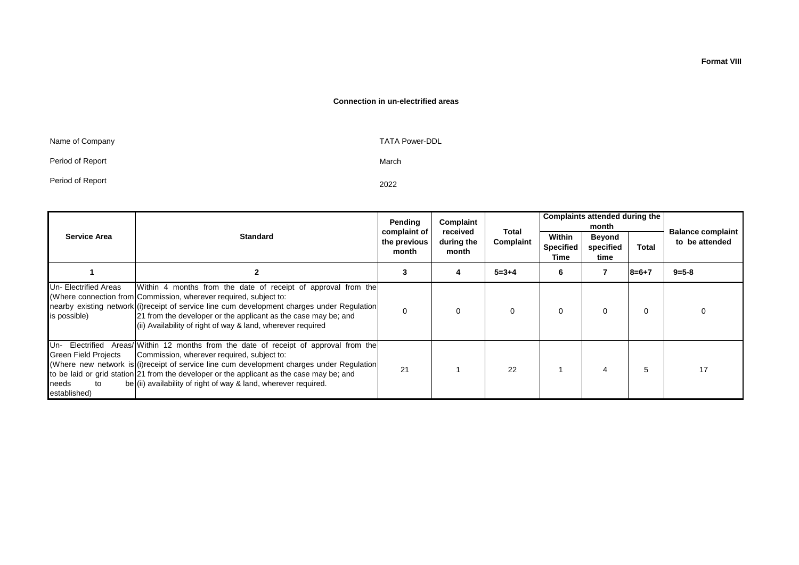#### **Connection in un-electrified areas**

| Name of Company  | <b>TATA Power-DDL</b> |
|------------------|-----------------------|
| Period of Report | March                 |
| Period of Report | 2022                  |

|                                                                               |                                                                                                                                                                                                                                                                                                                                                                                    | Pending<br>complaint of | Complaint<br>received |                    |                                    | Complaints attended during the<br>month |              | <b>Balance complaint</b> |  |
|-------------------------------------------------------------------------------|------------------------------------------------------------------------------------------------------------------------------------------------------------------------------------------------------------------------------------------------------------------------------------------------------------------------------------------------------------------------------------|-------------------------|-----------------------|--------------------|------------------------------------|-----------------------------------------|--------------|--------------------------|--|
| <b>Service Area</b>                                                           | <b>Standard</b>                                                                                                                                                                                                                                                                                                                                                                    | the previous<br>month   |                       | Total<br>Complaint | Within<br><b>Specified</b><br>Time | <b>Beyond</b><br>specified<br>time      | <b>Total</b> | to be attended           |  |
|                                                                               |                                                                                                                                                                                                                                                                                                                                                                                    | 3                       | 4                     | $5 = 3 + 4$        | 6                                  |                                         | $8 = 6 + 7$  | $9 = 5 - 8$              |  |
| Un- Electrified Areas<br>is possible)                                         | Within 4 months from the date of receipt of approval from the<br>(Where connection from Commission, wherever required, subject to:<br>nearby existing network (i) receipt of service line cum development charges under Regulation<br>21 from the developer or the applicant as the case may be; and<br>(ii) Availability of right of way & land, wherever required                | $\Omega$                | $\Omega$              | 0                  | $\Omega$                           | 0                                       | 0            |                          |  |
| Un- Electrified<br><b>Green Field Projects</b><br>to<br>needs<br>established) | Areas/Within 12 months from the date of receipt of approval from the<br>Commission, wherever required, subject to:<br>(Where new network is $(i)$ receipt of service line cum development charges under Regulation<br>to be laid or grid station 21 from the developer or the applicant as the case may be; and<br>be (ii) availability of right of way & land, wherever required. | 21                      |                       | 22                 |                                    |                                         | 5            | 17                       |  |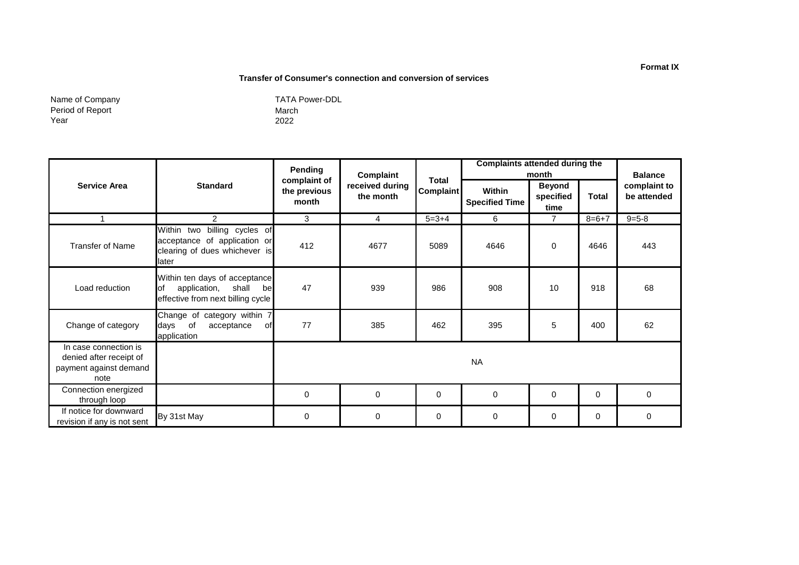#### **Transfer of Consumer's connection and conversion of services**

Name of Company Period of Report Year

|                                                                                    |                                                                                                           | Pending                               | Complaint                    | <b>Total</b><br><b>Complaint</b> | <b>Complaints attended during the</b><br>month |                                    |              | <b>Balance</b>              |
|------------------------------------------------------------------------------------|-----------------------------------------------------------------------------------------------------------|---------------------------------------|------------------------------|----------------------------------|------------------------------------------------|------------------------------------|--------------|-----------------------------|
| <b>Service Area</b>                                                                | <b>Standard</b>                                                                                           | complaint of<br>the previous<br>month | received during<br>the month |                                  | Within<br><b>Specified Time</b>                | <b>Beyond</b><br>specified<br>time | <b>Total</b> | complaint to<br>be attended |
|                                                                                    | $\overline{2}$                                                                                            | 3                                     | $\overline{4}$               | $5 = 3 + 4$                      | 6                                              | $\overline{7}$                     | $8 = 6 + 7$  | $9 = 5 - 8$                 |
| <b>Transfer of Name</b>                                                            | Within two billing cycles of<br>acceptance of application or<br>clearing of dues whichever is<br>later    | 412                                   | 4677                         | 5089                             | 4646                                           | $\mathbf 0$                        | 4646         | 443                         |
| Load reduction                                                                     | Within ten days of acceptance<br>application,<br>shall<br>lof<br>bel<br>effective from next billing cycle | 47                                    | 939                          | 986                              | 908                                            | 10                                 | 918          | 68                          |
| Change of category                                                                 | Change of category within 7<br>days<br>of<br>of.<br>acceptance<br>application                             | 77                                    | 385                          | 462                              | 395                                            | 5                                  | 400          | 62                          |
| In case connection is<br>denied after receipt of<br>payment against demand<br>note |                                                                                                           | <b>NA</b>                             |                              |                                  |                                                |                                    |              |                             |
| Connection energized<br>through loop                                               |                                                                                                           | $\mathbf 0$                           | $\Omega$                     | 0                                | $\Omega$                                       | $\mathbf 0$                        | $\Omega$     | $\Omega$                    |
| If notice for downward<br>revision if any is not sent                              | By 31st May                                                                                               | $\mathbf 0$                           | $\Omega$                     | 0                                | $\mathbf 0$                                    | $\mathbf 0$                        | $\Omega$     | $\Omega$                    |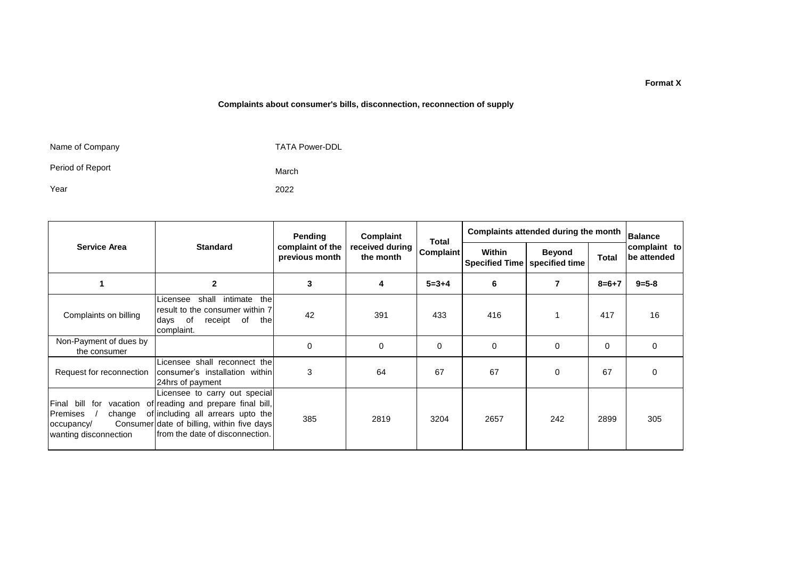#### **Complaints about consumer's bills, disconnection, reconnection of supply**

| Name of Company  |  |  |
|------------------|--|--|
| Period of Report |  |  |

Year

March 2022

TATA Power-DDL

|                                                           |                                                                                                                                                                                                                    | Pending                            | Complaint                    | <b>Total</b><br><b>Complaint</b> | Complaints attended during the month      |                |              | <b>Balance</b>              |
|-----------------------------------------------------------|--------------------------------------------------------------------------------------------------------------------------------------------------------------------------------------------------------------------|------------------------------------|------------------------------|----------------------------------|-------------------------------------------|----------------|--------------|-----------------------------|
| <b>Service Area</b>                                       | <b>Standard</b>                                                                                                                                                                                                    | complaint of the<br>previous month | received during<br>the month |                                  | Within<br>Specified Time   specified time | <b>Beyond</b>  | <b>Total</b> | complaint to<br>be attended |
|                                                           | $\mathbf{2}$                                                                                                                                                                                                       | 3                                  | 4                            | $5 = 3 + 4$                      | 6                                         | $\overline{7}$ | $8 = 6 + 7$  | $9 = 5 - 8$                 |
| Complaints on billing                                     | intimate<br>the<br>shall<br>Licensee<br>result to the consumer within 7<br>receipt of<br>of<br>days<br>the<br>complaint.                                                                                           | 42                                 | 391                          | 433                              | 416                                       |                | 417          | 16                          |
| Non-Payment of dues by<br>the consumer                    |                                                                                                                                                                                                                    | 0                                  | 0                            | $\Omega$                         | 0                                         | $\Omega$       | 0            | 0                           |
| Request for reconnection                                  | Licensee shall reconnect the<br>consumer's installation within<br>24hrs of payment                                                                                                                                 | 3                                  | 64                           | 67                               | 67                                        | $\Omega$       | 67           | $\Omega$                    |
| Premises<br>change<br>occupancy/<br>wanting disconnection | Licensee to carry out special<br>Final bill for vacation of reading and prepare final bill,<br>of including all arrears upto the<br>Consumer date of billing, within five days<br>Ifrom the date of disconnection. | 385                                | 2819                         | 3204                             | 2657                                      | 242            | 2899         | 305                         |

#### **Format X**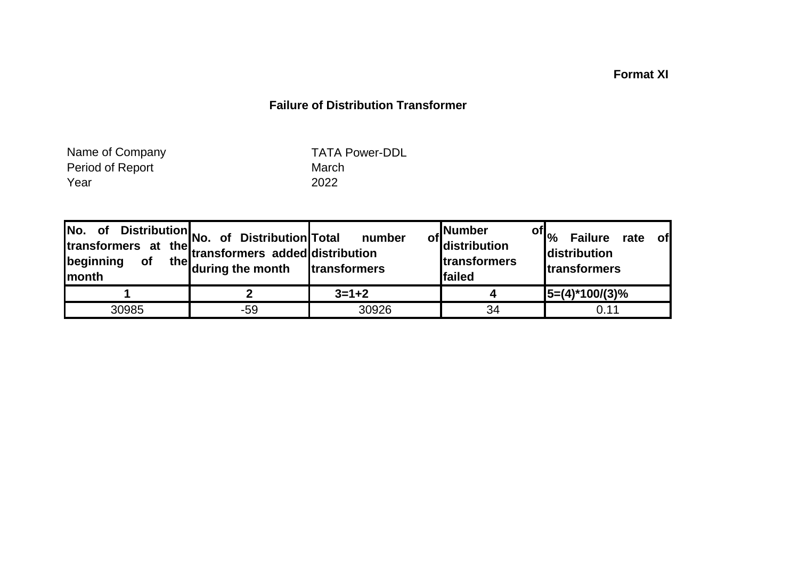# **Format XI**

## **Failure of Distribution Transformer**

Period of Report **March** Year 2022 Name of Company

TATA Power-DDL

| of Distribution No. of Distribution Total number<br>transformers at the transformers added distribution<br>Imonth | the during the month | transformers | . Number<br>of distribution<br><b>Itransformers</b><br>failed | of $ _{\%}$<br>Failure rate<br><b>of</b><br><b>distribution</b><br><b>Itransformers</b> |
|-------------------------------------------------------------------------------------------------------------------|----------------------|--------------|---------------------------------------------------------------|-----------------------------------------------------------------------------------------|
|                                                                                                                   |                      | $3=1+2$      |                                                               | $15=(4)*100/(3)%$                                                                       |
| 30985                                                                                                             | -59                  | 30926        | 34                                                            | 0.11                                                                                    |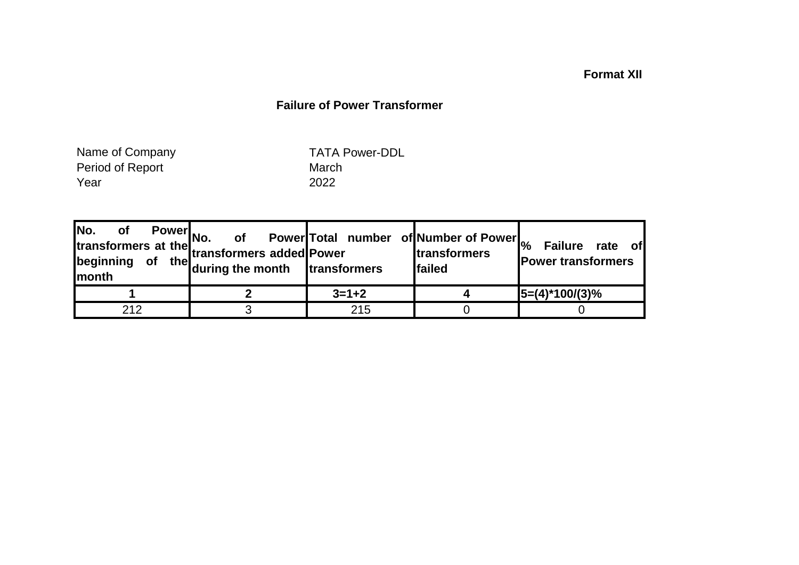## **Format XII**

### **Failure of Power Transformer**

Period of Report Narch Year 2022 Name of Company

TATA Power-DDL

|     | or Power<br>No. of Power<br>the transformers added<br>Power<br>the during the month<br>transformers<br>Ifam |             | <b>Itransformers</b><br><b>Ifailed</b> | of Power Total number of Number of Power <sub>%</sub> Failure rate of<br><b>Power transformers</b> |
|-----|-------------------------------------------------------------------------------------------------------------|-------------|----------------------------------------|----------------------------------------------------------------------------------------------------|
|     |                                                                                                             | $3 = 1 + 2$ |                                        | $15=(4)*100/(3)%$                                                                                  |
| 212 |                                                                                                             | 215         |                                        |                                                                                                    |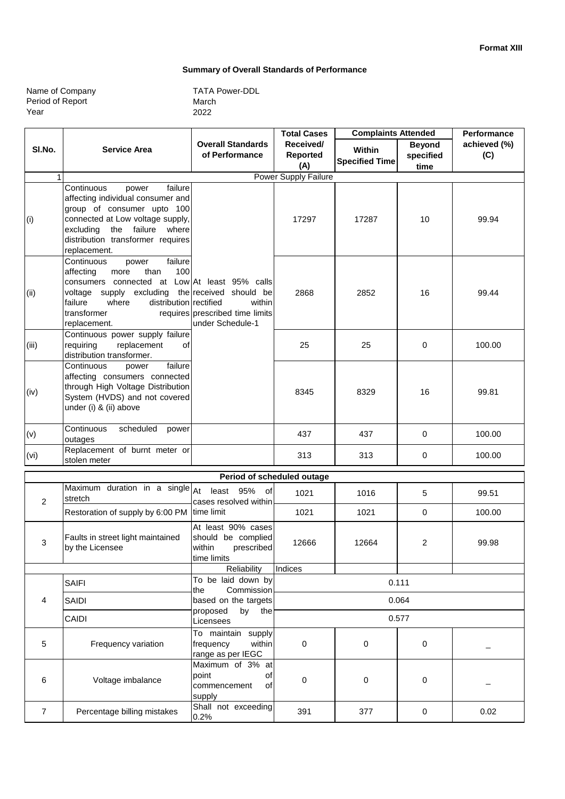**Standard of** 

#### **Summary of Overall Standards of Performance**

| Name of Company  |  |
|------------------|--|
| Period of Report |  |
| Year             |  |

|        |                                                                                                                                                                                                                                                     |                                                               | <b>Total Cases</b>                  | <b>Complaints Attended</b>             | <b>Performance</b>                 |                     |
|--------|-----------------------------------------------------------------------------------------------------------------------------------------------------------------------------------------------------------------------------------------------------|---------------------------------------------------------------|-------------------------------------|----------------------------------------|------------------------------------|---------------------|
| SI.No. | <b>Service Area</b>                                                                                                                                                                                                                                 | <b>Overall Standards</b><br>of Performance                    | Received/<br><b>Reported</b><br>(A) | <b>Within</b><br><b>Specified Time</b> | <b>Beyond</b><br>specified<br>time | achieved (%)<br>(C) |
| 1      |                                                                                                                                                                                                                                                     |                                                               | Power Supply Failure                |                                        |                                    |                     |
| (i)    | failure<br>Continuous<br>power<br>affecting individual consumer and<br>group of consumer upto 100<br>connected at Low voltage supply,<br>excluding<br>the failure<br>where<br>distribution transformer requires<br>replacement.                     |                                                               | 17297                               | 17287                                  | 10                                 | 99.94               |
| (ii)   | failure<br>Continuous<br>power<br>100<br>affecting<br>than<br>more<br>consumers connected at Low At least 95% calls<br>voltage supply excluding the received should be<br>failure<br>where<br>distribution rectified<br>transformer<br>replacement. | within<br>requires prescribed time limits<br>under Schedule-1 | 2868                                | 2852                                   | 16                                 | 99.44               |
| (iii)  | Continuous power supply failure<br>requiring<br>replacement<br>οf<br>distribution transformer.                                                                                                                                                      |                                                               | 25                                  | 25                                     | 0                                  | 100.00              |
| (iv)   | failure<br>Continuous<br>power<br>affecting consumers connected<br>through High Voltage Distribution<br>System (HVDS) and not covered<br>under (i) & (ii) above                                                                                     |                                                               | 8345                                | 8329                                   | 16                                 | 99.81               |
| (v)    | Continuous<br>scheduled<br>power<br>outages                                                                                                                                                                                                         |                                                               | 437                                 | 437                                    | $\Omega$                           | 100.00              |
| (vi)   | Replacement of burnt meter or<br>stolen meter                                                                                                                                                                                                       |                                                               | 313                                 | 313                                    | $\Omega$                           | 100.00              |

| Period of scheduled outage |                                                      |                                                                                 |          |          |       |        |  |
|----------------------------|------------------------------------------------------|---------------------------------------------------------------------------------|----------|----------|-------|--------|--|
| 2                          | Maximum duration in a single $A$ t<br>stretch        | least 95% of<br>cases resolved within                                           | 1021     | 1016     | 5     | 99.51  |  |
|                            | Restoration of supply by 6:00 PM                     | time limit                                                                      | 1021     | 1021     | 0     | 100.00 |  |
| 3                          | Faults in street light maintained<br>by the Licensee | At least 90% cases<br>should be complied<br>within<br>prescribed<br>time limits | 12666    | 12664    | 2     | 99.98  |  |
|                            |                                                      | Reliability                                                                     | Indices  |          |       |        |  |
|                            | <b>SAIFI</b>                                         | To be laid down by<br>Commission<br>the                                         |          |          | 0.111 |        |  |
| 4                          | <b>SAIDI</b>                                         | based on the targets                                                            | 0.064    |          |       |        |  |
|                            | CAIDI                                                | proposed<br>by<br>the<br>Licensees                                              | 0.577    |          |       |        |  |
| 5                          | Frequency variation                                  | To maintain<br>supply<br>within<br>frequency<br>range as per IEGC               | 0        | $\Omega$ | 0     |        |  |
| 6                          | Voltage imbalance                                    | Maximum of 3% at<br>point<br>οf<br>of<br>commencement<br>supply                 | $\Omega$ | $\Omega$ | 0     |        |  |
| 7                          | Percentage billing mistakes                          | Shall<br>not exceeding<br>0.2%                                                  | 391      | 377      | 0     | 0.02   |  |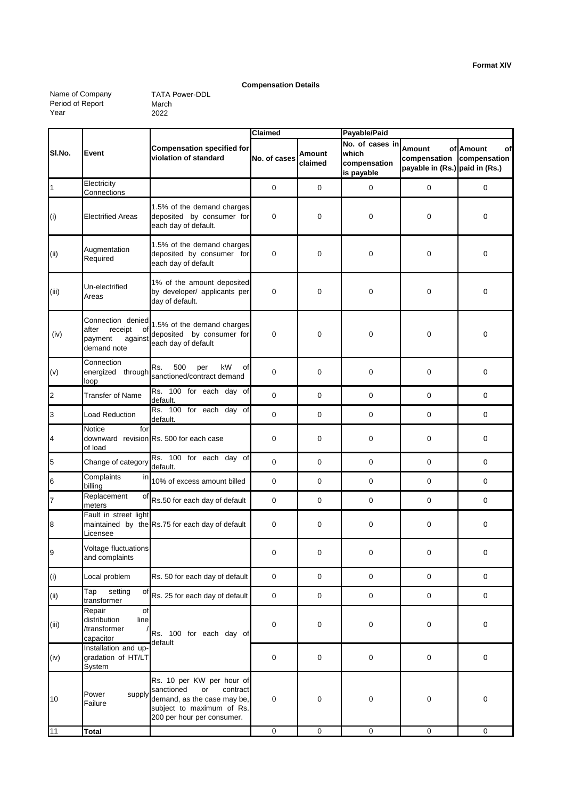**Format XIV**

#### **Compensation Details**

Name of Company Period of Report Year

|                           |                                                                                  |                                                                                                                                                     | Claimed      |                   | Payable/Paid                                           |                                                                              |                 |
|---------------------------|----------------------------------------------------------------------------------|-----------------------------------------------------------------------------------------------------------------------------------------------------|--------------|-------------------|--------------------------------------------------------|------------------------------------------------------------------------------|-----------------|
| SI.No.                    | Event                                                                            | <b>Compensation specified for</b><br>violation of standard                                                                                          | No. of cases | Amount<br>claimed | No. of cases in<br>which<br>compensation<br>is payable | <b>Amount</b><br>compensation compensation<br>payable in (Rs.) paid in (Rs.) | of Amount<br>οf |
| $\mathbf 1$               | Electricity<br>Connections                                                       |                                                                                                                                                     | 0            | $\mathbf 0$       | $\mathbf 0$                                            | $\mathbf 0$                                                                  | 0               |
| (i)                       | <b>Electrified Areas</b>                                                         | 1.5% of the demand charges<br>deposited by consumer for<br>each day of default.                                                                     | 0            | 0                 | 0                                                      | 0                                                                            | 0               |
| (ii)                      | Augmentation<br>Required                                                         | 1.5% of the demand charges<br>deposited by consumer for<br>each day of default                                                                      | 0            | $\mathbf 0$       | $\mathbf 0$                                            | $\mathbf 0$                                                                  | 0               |
| (iii)                     | Un-electrified<br>Areas                                                          | 1% of the amount deposited<br>by developer/ applicants per<br>day of default.                                                                       | 0            | 0                 | $\mathbf 0$                                            | $\mathbf 0$                                                                  | $\mathbf 0$     |
| (iv)                      | Connection denied<br>receipt<br>after<br>οf<br>payment<br>against<br>demand note | 1.5% of the demand charges<br>deposited by consumer for<br>each day of default                                                                      | 0            | $\boldsymbol{0}$  | $\mathbf 0$                                            | $\mathbf 0$                                                                  | 0               |
| (v)                       | Connection<br>energized through<br>loop                                          | 500<br>kW<br>Rs.<br>per<br>οf<br>sanctioned/contract demand                                                                                         | 0            | $\mathbf 0$       | $\mathbf 0$                                            | $\mathbf 0$                                                                  | 0               |
| $\overline{a}$            | <b>Transfer of Name</b>                                                          | Rs. 100 for each day of<br>default.                                                                                                                 | 0            | $\mathbf 0$       | $\mathbf 0$                                            | $\mathbf 0$                                                                  | 0               |
| 3                         | Load Reduction                                                                   | Rs. 100 for each day of<br>default.                                                                                                                 | 0            | $\mathbf 0$       | $\mathbf 0$                                            | $\mathbf 0$                                                                  | $\mathbf 0$     |
| 4                         | for<br>Notice<br>of load                                                         | downward revision Rs. 500 for each case                                                                                                             | 0            | $\mathbf 0$       | $\mathbf 0$                                            | $\mathbf 0$                                                                  | 0               |
| $\overline{5}$            | Change of category                                                               | Rs. 100 for each day of<br>default.                                                                                                                 | 0            | $\mathbf 0$       | 0                                                      | $\mathbf 0$                                                                  | $\mathbf 0$     |
| $6\phantom{a}$            | Complaints<br>in<br>billing                                                      | 10% of excess amount billed                                                                                                                         | 0            | $\mathbf 0$       | $\mathbf 0$                                            | $\mathbf 0$                                                                  | 0               |
| $\overline{7}$            | Replacement<br>of<br>meters                                                      | Rs.50 for each day of default                                                                                                                       | 0            | $\mathbf 0$       | 0                                                      | $\mathbf 0$                                                                  | $\mathbf 0$     |
| 8                         | Fault in street light<br>Licensee                                                | maintained by the Rs.75 for each day of default                                                                                                     | 0            | 0                 | 0                                                      | $\mathbf 0$                                                                  | $\mathbf 0$     |
| 9                         | Voltage fluctuations<br>and complaints                                           |                                                                                                                                                     | 0            | 0                 | 0                                                      | $\mathbf 0$                                                                  | 0               |
| (i)                       | Local problem                                                                    | Rs. 50 for each day of default                                                                                                                      | 0            | 0                 | $\mathbf 0$                                            | $\mathsf 0$                                                                  | 0               |
| $\left( \text{ii}\right)$ | setting<br>Tap<br>οf<br>transformer                                              | Rs. 25 for each day of default                                                                                                                      | $\pmb{0}$    | $\pmb{0}$         | $\pmb{0}$                                              | $\pmb{0}$                                                                    | 0               |
| (iii)                     | Repair<br>οf<br>distribution<br>line<br>/transformer<br>capacitor                | Rs. 100 for each day of<br>default                                                                                                                  | 0            | $\pmb{0}$         | 0                                                      | $\pmb{0}$                                                                    | 0               |
| (iv)                      | Installation and up-<br>gradation of HT/LT<br><b>System</b>                      |                                                                                                                                                     | 0            | 0                 | 0                                                      | $\mathsf 0$                                                                  | 0               |
| 10                        | Power<br>supply<br>Failure                                                       | Rs. 10 per KW per hour of<br>sanctioned<br>or<br>contract<br>demand, as the case may be,<br>subject to maximum of Rs.<br>200 per hour per consumer. | 0            | $\pmb{0}$         | 0                                                      | 0                                                                            | 0               |
| 11                        | <b>Total</b>                                                                     |                                                                                                                                                     | $\pmb{0}$    | $\pmb{0}$         | $\pmb{0}$                                              | $\mathsf 0$                                                                  | $\mathbf 0$     |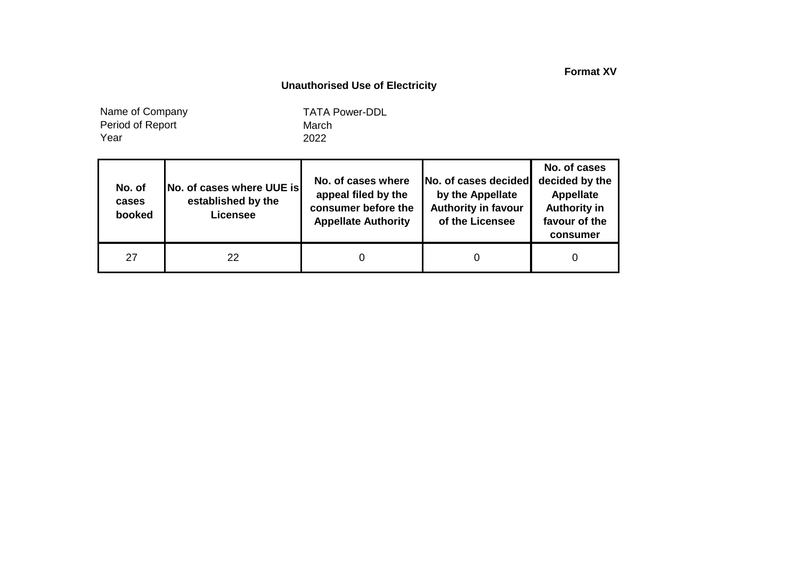**Format XV**

## **Unauthorised Use of Electricity**

Year Name of Company Period of Report

| No. of<br>cases<br>booked | No. of cases where UUE is<br>established by the<br><b>Licensee</b> | No. of cases where<br>appeal filed by the<br>consumer before the<br><b>Appellate Authority</b> | No. of cases decided<br>by the Appellate<br><b>Authority in favour</b><br>of the Licensee | No. of cases<br>decided by the<br><b>Appellate</b><br><b>Authority in</b><br>favour of the<br>consumer |
|---------------------------|--------------------------------------------------------------------|------------------------------------------------------------------------------------------------|-------------------------------------------------------------------------------------------|--------------------------------------------------------------------------------------------------------|
| 27                        | 22                                                                 |                                                                                                |                                                                                           | 0                                                                                                      |